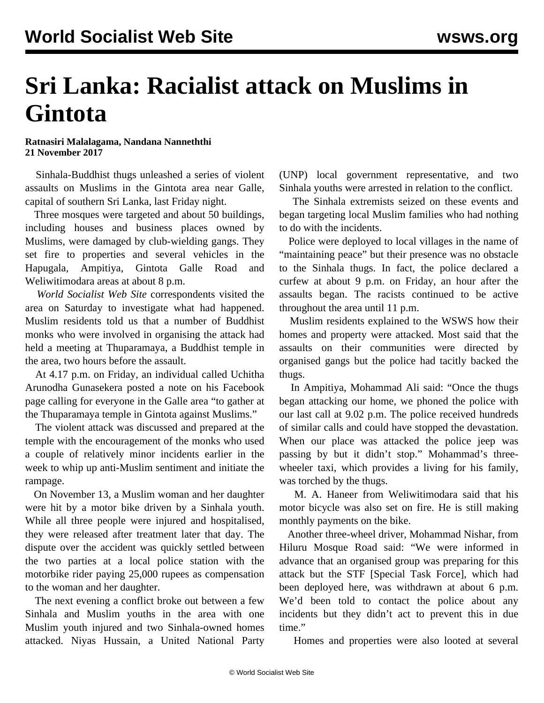## **Sri Lanka: Racialist attack on Muslims in Gintota**

**Ratnasiri Malalagama, Nandana Nanneththi 21 November 2017**

 Sinhala-Buddhist thugs unleashed a series of violent assaults on Muslims in the Gintota area near Galle, capital of southern Sri Lanka, last Friday night.

 Three mosques were targeted and about 50 buildings, including houses and business places owned by Muslims, were damaged by club-wielding gangs. They set fire to properties and several vehicles in the Hapugala, Ampitiya, Gintota Galle Road and Weliwitimodara areas at about 8 p.m.

 *World Socialist Web Site* correspondents visited the area on Saturday to investigate what had happened. Muslim residents told us that a number of Buddhist monks who were involved in organising the attack had held a meeting at Thuparamaya, a Buddhist temple in the area, two hours before the assault.

 At 4.17 p.m. on Friday, an individual called Uchitha Arunodha Gunasekera posted a note on his Facebook page calling for everyone in the Galle area "to gather at the Thuparamaya temple in Gintota against Muslims."

 The violent attack was discussed and prepared at the temple with the encouragement of the monks who used a couple of relatively minor incidents earlier in the week to whip up anti-Muslim sentiment and initiate the rampage.

 On November 13, a Muslim woman and her daughter were hit by a motor bike driven by a Sinhala youth. While all three people were injured and hospitalised, they were released after treatment later that day. The dispute over the accident was quickly settled between the two parties at a local police station with the motorbike rider paying 25,000 rupees as compensation to the woman and her daughter.

 The next evening a conflict broke out between a few Sinhala and Muslim youths in the area with one Muslim youth injured and two Sinhala-owned homes attacked. Niyas Hussain, a United National Party

(UNP) local government representative, and two Sinhala youths were arrested in relation to the conflict.

 The Sinhala extremists seized on these events and began targeting local Muslim families who had nothing to do with the incidents.

 Police were deployed to local villages in the name of "maintaining peace" but their presence was no obstacle to the Sinhala thugs. In fact, the police declared a curfew at about 9 p.m. on Friday, an hour after the assaults began. The racists continued to be active throughout the area until 11 p.m.

 Muslim residents explained to the WSWS how their homes and property were attacked. Most said that the assaults on their communities were directed by organised gangs but the police had tacitly backed the thugs.

 In Ampitiya, Mohammad Ali said: "Once the thugs began attacking our home, we phoned the police with our last call at 9.02 p.m. The police received hundreds of similar calls and could have stopped the devastation. When our place was attacked the police jeep was passing by but it didn't stop." Mohammad's threewheeler taxi, which provides a living for his family, was torched by the thugs.

 M. A. Haneer from Weliwitimodara said that his motor bicycle was also set on fire. He is still making monthly payments on the bike.

 Another three-wheel driver, Mohammad Nishar, from Hiluru Mosque Road said: "We were informed in advance that an organised group was preparing for this attack but the STF [Special Task Force], which had been deployed here, was withdrawn at about 6 p.m. We'd been told to contact the police about any incidents but they didn't act to prevent this in due time."

Homes and properties were also looted at several